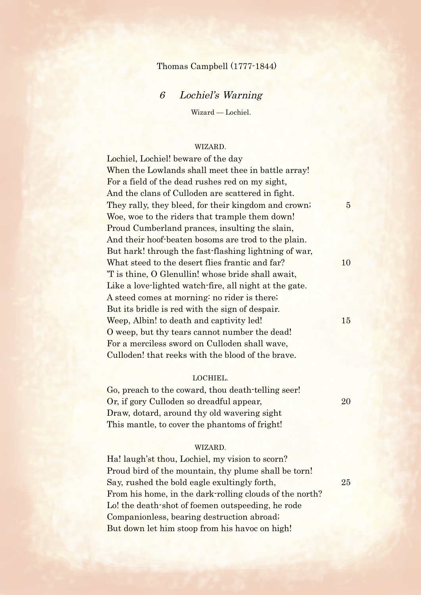# Thomas Campbell (1777-1844)

# 6 Lochiel's Warning

Wizard — Lochiel.

## WIZARD.

Lochiel, Lochiel! beware of the day When the Lowlands shall meet thee in battle array! For a field of the dead rushes red on my sight, And the clans of Culloden are scattered in fight. They rally, they bleed, for their kingdom and crown; 5 Woe, woe to the riders that trample them down! Proud Cumberland prances, insulting the slain, And their hoof-beaten bosoms are trod to the plain. But hark! through the fast-flashing lightning of war, What steed to the desert flies frantic and far? 10 'T is thine, O Glenullin! whose bride shall await, Like a love-lighted watch-fire, all night at the gate. A steed comes at morning: no rider is there; But its bridle is red with the sign of despair. Weep, Albin! to death and captivity led! 15 O weep, but thy tears cannot number the dead! For a merciless sword on Culloden shall wave, Culloden! that reeks with the blood of the brave.

#### LOCHIEL.

Go, preach to the coward, thou death-telling seer! Or, if gory Culloden so dreadful appear, 20 Draw, dotard, around thy old wavering sight This mantle, to cover the phantoms of fright!

## WIZARD.

Ha! laugh'st thou, Lochiel, my vision to scorn? Proud bird of the mountain, thy plume shall be torn! Say, rushed the bold eagle exultingly forth, 25 From his home, in the dark-rolling clouds of the north? Lo! the death-shot of foemen outspeeding, he rode Companionless, bearing destruction abroad; But down let him stoop from his havoc on high!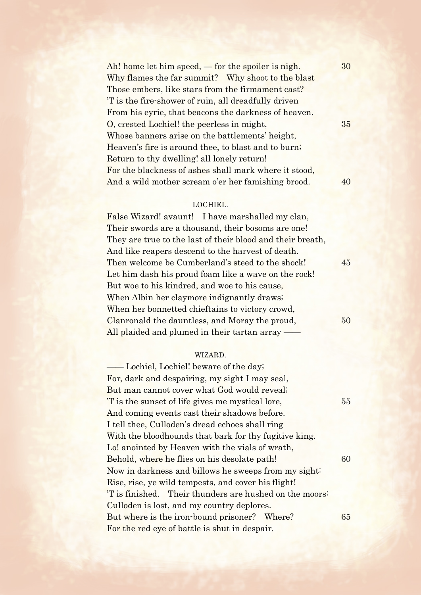Ah! home let him speed,  $-$  for the spoiler is nigh.  $30$ Why flames the far summit? Why shoot to the blast Those embers, like stars from the firmament cast? 'T is the fire-shower of ruin, all dreadfully driven From his eyrie, that beacons the darkness of heaven. O, crested Lochiel! the peerless in might, 35 Whose banners arise on the battlements' height, Heaven's fire is around thee, to blast and to burn; Return to thy dwelling! all lonely return! For the blackness of ashes shall mark where it stood, And a wild mother scream o'er her famishing brood. 40

## LOCHIEL.

False Wizard! avaunt! I have marshalled my clan, Their swords are a thousand, their bosoms are one! They are true to the last of their blood and their breath, And like reapers descend to the harvest of death. Then welcome be Cumberland's steed to the shock! 45 Let him dash his proud foam like a wave on the rock! But woe to his kindred, and woe to his cause, When Albin her claymore indignantly draws; When her bonnetted chieftains to victory crowd, Clanronald the dauntless, and Moray the proud, 50 All plaided and plumed in their tartan array –

#### WIZARD.

 —— Lochiel, Lochiel! beware of the day; For, dark and despairing, my sight I may seal, But man cannot cover what God would reveal; 'T is the sunset of life gives me mystical lore, 55 And coming events cast their shadows before. I tell thee, Culloden's dread echoes shall ring With the bloodhounds that bark for thy fugitive king. Lo! anointed by Heaven with the vials of wrath, Behold, where he flies on his desolate path! 60 Now in darkness and billows he sweeps from my sight: Rise, rise, ye wild tempests, and cover his flight! 'T is finished. Their thunders are hushed on the moors: Culloden is lost, and my country deplores. But where is the iron-bound prisoner? Where? 65 For the red eye of battle is shut in despair.